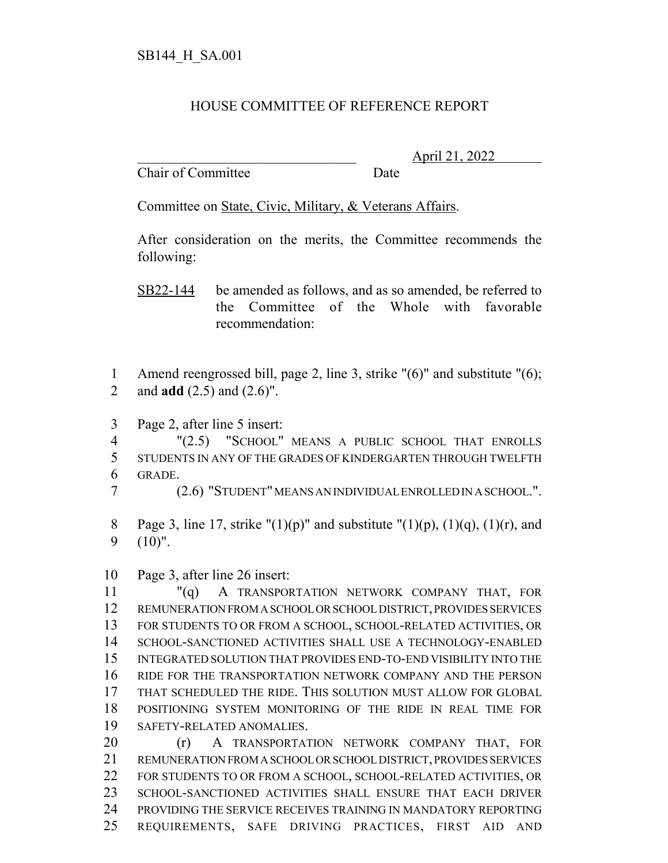## HOUSE COMMITTEE OF REFERENCE REPORT

Chair of Committee Date

\_\_\_\_\_\_\_\_\_\_\_\_\_\_\_\_\_\_\_\_\_\_\_\_\_\_\_\_\_\_\_ April 21, 2022

Committee on State, Civic, Military, & Veterans Affairs.

After consideration on the merits, the Committee recommends the following:

SB22-144 be amended as follows, and as so amended, be referred to the Committee of the Whole with favorable recommendation:

 Amend reengrossed bill, page 2, line 3, strike "(6)" and substitute "(6); and **add** (2.5) and (2.6)".

Page 2, after line 5 insert:

 "(2.5) "SCHOOL" MEANS A PUBLIC SCHOOL THAT ENROLLS STUDENTS IN ANY OF THE GRADES OF KINDERGARTEN THROUGH TWELFTH GRADE.

(2.6) "STUDENT" MEANS AN INDIVIDUAL ENROLLED IN A SCHOOL.".

- 8 Page 3, line 17, strike "(1)(p)" and substitute "(1)(p), (1)(q), (1)(r), and (10)".
- Page 3, after line 26 insert:

 "(q) A TRANSPORTATION NETWORK COMPANY THAT, FOR REMUNERATION FROM A SCHOOL OR SCHOOL DISTRICT, PROVIDES SERVICES FOR STUDENTS TO OR FROM A SCHOOL, SCHOOL-RELATED ACTIVITIES, OR SCHOOL-SANCTIONED ACTIVITIES SHALL USE A TECHNOLOGY-ENABLED INTEGRATED SOLUTION THAT PROVIDES END-TO-END VISIBILITY INTO THE RIDE FOR THE TRANSPORTATION NETWORK COMPANY AND THE PERSON THAT SCHEDULED THE RIDE. THIS SOLUTION MUST ALLOW FOR GLOBAL POSITIONING SYSTEM MONITORING OF THE RIDE IN REAL TIME FOR SAFETY-RELATED ANOMALIES.

20 (r) A TRANSPORTATION NETWORK COMPANY THAT, FOR REMUNERATION FROM A SCHOOL OR SCHOOL DISTRICT, PROVIDES SERVICES FOR STUDENTS TO OR FROM A SCHOOL, SCHOOL-RELATED ACTIVITIES, OR SCHOOL-SANCTIONED ACTIVITIES SHALL ENSURE THAT EACH DRIVER PROVIDING THE SERVICE RECEIVES TRAINING IN MANDATORY REPORTING REQUIREMENTS, SAFE DRIVING PRACTICES, FIRST AID AND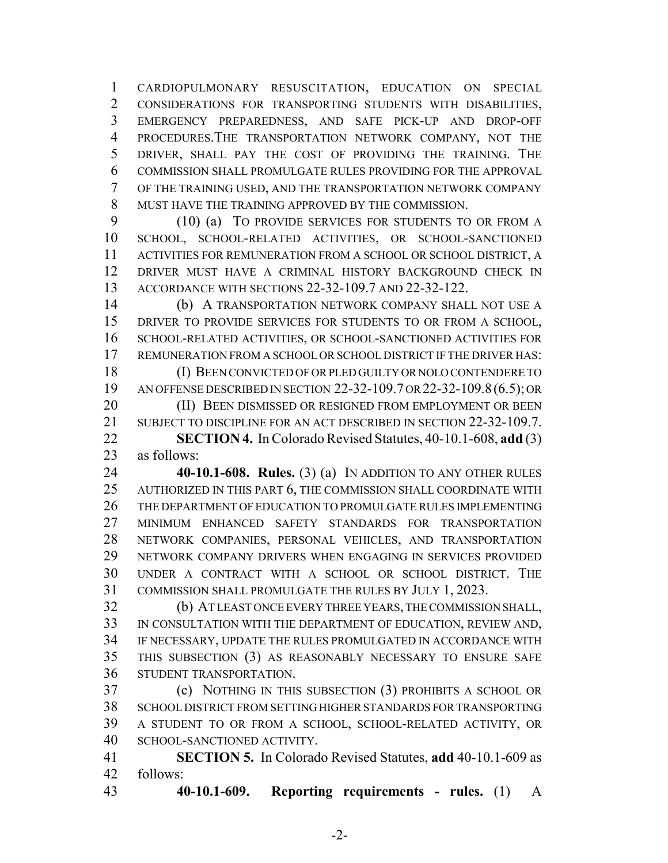CARDIOPULMONARY RESUSCITATION, EDUCATION ON SPECIAL CONSIDERATIONS FOR TRANSPORTING STUDENTS WITH DISABILITIES, EMERGENCY PREPAREDNESS, AND SAFE PICK-UP AND DROP-OFF PROCEDURES.THE TRANSPORTATION NETWORK COMPANY, NOT THE DRIVER, SHALL PAY THE COST OF PROVIDING THE TRAINING. THE COMMISSION SHALL PROMULGATE RULES PROVIDING FOR THE APPROVAL OF THE TRAINING USED, AND THE TRANSPORTATION NETWORK COMPANY MUST HAVE THE TRAINING APPROVED BY THE COMMISSION.

 (10) (a) TO PROVIDE SERVICES FOR STUDENTS TO OR FROM A SCHOOL, SCHOOL-RELATED ACTIVITIES, OR SCHOOL-SANCTIONED ACTIVITIES FOR REMUNERATION FROM A SCHOOL OR SCHOOL DISTRICT, A DRIVER MUST HAVE A CRIMINAL HISTORY BACKGROUND CHECK IN ACCORDANCE WITH SECTIONS 22-32-109.7 AND 22-32-122.

 (b) A TRANSPORTATION NETWORK COMPANY SHALL NOT USE A DRIVER TO PROVIDE SERVICES FOR STUDENTS TO OR FROM A SCHOOL, SCHOOL-RELATED ACTIVITIES, OR SCHOOL-SANCTIONED ACTIVITIES FOR REMUNERATION FROM A SCHOOL OR SCHOOL DISTRICT IF THE DRIVER HAS:

 (I) BEEN CONVICTED OF OR PLED GUILTY OR NOLO CONTENDERE TO AN OFFENSE DESCRIBED IN SECTION 22-32-109.7 OR 22-32-109.8(6.5); OR 20 (II) BEEN DISMISSED OR RESIGNED FROM EMPLOYMENT OR BEEN

 SUBJECT TO DISCIPLINE FOR AN ACT DESCRIBED IN SECTION 22-32-109.7. **SECTION 4.** In Colorado Revised Statutes, 40-10.1-608, **add** (3)

as follows:

 **40-10.1-608. Rules.** (3) (a) IN ADDITION TO ANY OTHER RULES AUTHORIZED IN THIS PART 6, THE COMMISSION SHALL COORDINATE WITH THE DEPARTMENT OF EDUCATION TO PROMULGATE RULES IMPLEMENTING MINIMUM ENHANCED SAFETY STANDARDS FOR TRANSPORTATION NETWORK COMPANIES, PERSONAL VEHICLES, AND TRANSPORTATION NETWORK COMPANY DRIVERS WHEN ENGAGING IN SERVICES PROVIDED UNDER A CONTRACT WITH A SCHOOL OR SCHOOL DISTRICT. THE COMMISSION SHALL PROMULGATE THE RULES BY JULY 1, 2023.

 (b) AT LEAST ONCE EVERY THREE YEARS, THE COMMISSION SHALL, IN CONSULTATION WITH THE DEPARTMENT OF EDUCATION, REVIEW AND, IF NECESSARY, UPDATE THE RULES PROMULGATED IN ACCORDANCE WITH THIS SUBSECTION (3) AS REASONABLY NECESSARY TO ENSURE SAFE STUDENT TRANSPORTATION.

 (c) NOTHING IN THIS SUBSECTION (3) PROHIBITS A SCHOOL OR SCHOOL DISTRICT FROM SETTING HIGHER STANDARDS FOR TRANSPORTING A STUDENT TO OR FROM A SCHOOL, SCHOOL-RELATED ACTIVITY, OR SCHOOL-SANCTIONED ACTIVITY.

 **SECTION 5.** In Colorado Revised Statutes, **add** 40-10.1-609 as follows:

**40-10.1-609. Reporting requirements - rules.** (1) A